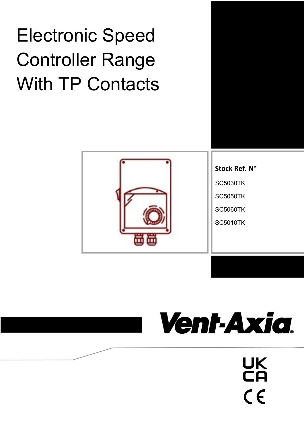## Electronic Speed Controller Range With TP Contacts



# Vent-Axia.

UK<br>CA

 $C \in$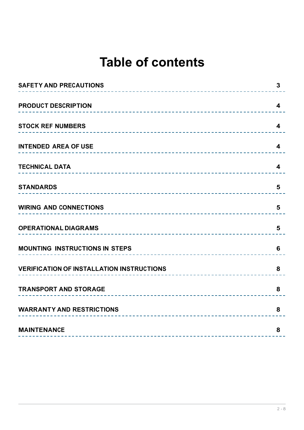## **Table of contents**

| <b>SAFETY AND PRECAUTIONS</b>                    | 3                       |
|--------------------------------------------------|-------------------------|
| <b>PRODUCT DESCRIPTION</b>                       | 4                       |
| <b>STOCK REF NUMBERS</b>                         | 4                       |
| <b>INTENDED AREA OF USE</b>                      | $\overline{\mathbf{4}}$ |
| <b>TECHNICAL DATA</b>                            | $\overline{\mathbf{4}}$ |
| <b>STANDARDS</b>                                 | 5                       |
| <b>WIRING AND CONNECTIONS</b>                    | 5                       |
| <b>OPERATIONAL DIAGRAMS</b>                      | 5                       |
| <b>MOUNTING INSTRUCTIONS IN STEPS</b>            | 6                       |
| <b>VERIFICATION OF INSTALLATION INSTRUCTIONS</b> | 8                       |
| <b>TRANSPORT AND STORAGE</b>                     | 8                       |
| <b>WARRANTY AND RESTRICTIONS</b>                 | 8                       |
| <b>MAINTENANCE</b>                               | 8                       |
|                                                  |                         |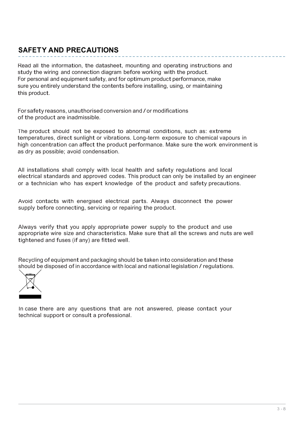## **SAFET Y AND PRECAUTIONS**

Read all the information, the datasheet, mounting and operating instructions and study the wiring and connection diagram before working with the product. For personal and equipment safety, and for optimum product performance, make sure you entirely understand the contents before installing, using, or maintaining this product.

For safety reasons, unauthorised conversion and / or modifications of the product are inadmissible.

The product should not be exposed to abnormal conditions, such as: extreme temperatures, direct sunlight or vibrations. Long-term exposure to chemical vapours in high concentration can affect the product performance. Make sure the work environment is as dry as possible; avoid condensation.

All installations shall comply with local health and safety regulations and local electrical standards and approved codes. This product can only be installed by an engineer or a technician who has expert knowledge of the product and safety precautions.

Avoid contacts with energised electrical parts. Always disconnect the power supply before connecting, servicing or repairing the product.

Always verify that you apply appropriate power supply to the product and use appropriate wire size and characteristics. Make sure that all the screws and nuts are well tightened and fuses (if any) are fitted well.

Recycling of equipment and packaging should be taken into consideration and these should be disposed of in accordance with local and national legislation / regulations.



In case there are any questions that are not answered, please contact your technical support or consult a professional.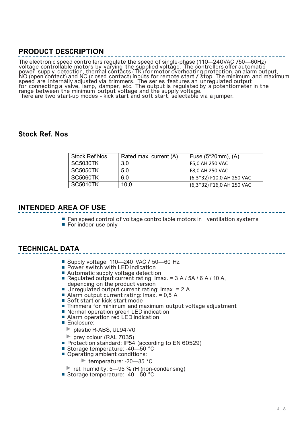## **PRODUCT DESCRIPTION**

The electronic speed controllers regulate the speed of single-phase (110—240VAC /50—60Hz) voltage controllable motors by varying the supplied voltage. The controllers offer automatic voltage controllable motors by varying the supplied voltage. The controllers oner automatic<br>power supply detection, thermal contacts (TK) for motor overheating protection, an alarm output,<br>NO (open contact) and NC (closed speed are internally adjusted via trimmers. The series features an unregulated output for connecting a valve, lamp, damper, etc. The output is regulated by a potentiometer in the ror connecting a valve, lamp, damper, etc. The output is regulated by a potentic<br>range between the minimum output voltage and the supply voltage.<br>There are two start-up modes - kick start and soft start, selectable via a j

## **Stock Ref. Nos**

| Stock Ref Nos   | Rated max. current (A) | Fuse $(5*20mm)$ , $(A)$   |  |  |
|-----------------|------------------------|---------------------------|--|--|
| <b>SC5030TK</b> | 3,0                    | F5,0 AH 250 VAC           |  |  |
| <b>SC5050TK</b> | 5,0                    | F8,0 AH 250 VAC           |  |  |
| <b>SC5060TK</b> | 6.0                    | (6,3*32) F10,0 AH 250 VAC |  |  |
| <b>SC5010TK</b> | 10,0                   | (6,3*32) F16,0 AH 250 VAC |  |  |

## **INTENDED AREA OF USE**

- Fan speed control of voltage controllable motors in ventilation systems
- For indoor use only

## **TECHNICAL DATA**

- Supply voltage: 110–240 VAC / 50–60 Hz
- Power switch with LED indication
- Automatic supply voltage detection
- **Regulated output current rating: Imax. = 3 A / 5A / 6 A / 10 A, depending on the product version**
- **Unregulated output current rating: Imax. = 2 A**
- Alarm output current rating: Imax.  $= 0.5$  A
- Soft start or kick start mode
- Trimmers for minimum and maximum output voltage adjustment
- Normal operation green LED indication
- Alarm operation red LED indication
- Enclosure:
	- ► plastic R-ABS, UL94-V0
	- ► grey colour (RAL 7035)
- Protection standard: IP54 (according to EN 60529)
- Storage temperature: -40—50 °C
- Operating ambient conditions:
	- ► temperature: -20—35 °C
- ► rel. humidity: 5—95 % rH (non-condensing)
- Storage temperature: -40–50 °C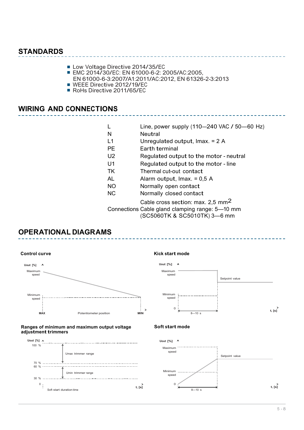## **STANDARDS**

- Low Voltage Directive 2014/35/EC
- EMC 2014/30/EC: EN 61000-6-2: 2005/AC:2005,
- EN 61000-6-3:2007/A1:2011/AC:2012, EN 61326-2-3:2013
- WEEE Directive 2012/19/EC ■ RoHs Directive 2011/65/EC
- 

## **WIRING AND CONNECTIONS**

L Line, power supply (110-240 VAC / 50-60 Hz) N Neutral L1 Unregulated output, Imax. = 2 A PE Earth terminal U2 Requiated output to the motor - neutral U1 Regulated output to the motor - line TK Thermal cut-out contact AL Alarm output, Imax. = 0,5 <sup>A</sup> NO Normally open contact NC Normally closed contact Cable cross section: max. 2,5 mm2 Connections Cable gland clamping range: 5—10 mm

(SC5060TK & SC5010TK) 3—6 mm

## **OPERATIONAL DIAGRAMS**

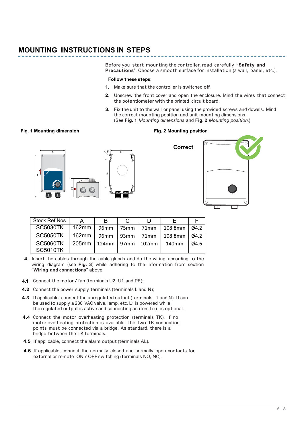## **MOUNTING INSTRUCTIONS IN STEPS**

Before you start mounting the controller, read carefully **"Safety and Precautions**". Choose a smooth surface for installation (a wall, panel, etc.).

#### **Follow these steps:**

- **1.** Make sure that the controller is switched off.
- **2.** Unscrew the front cover and open the enclosure. Mind the wires that connect the potentiometer with the printed circuit board.
- Fix the unit to the wall or panel using the provided screws and dowels. Mind **3.** the correct mounting position and unit mounting dimensions. (See **Fig. 1** *Mounting dimensions* and **Fig. 2** *Mounting position*.)

#### Fig. 1 Mounting dimension **Fig. 2 Mounting position**





| <b>Stock Ref Nos</b>               | A        | в                |      |                 |         |               |
|------------------------------------|----------|------------------|------|-----------------|---------|---------------|
| <b>SC5030TK</b>                    | $162$ mm | 96mm             | 75mm | 71mm            | 108.8mm | $\varphi$ 4.2 |
| <b>SC5050TK</b>                    | 162mm    | 96 <sub>mm</sub> |      | $93mm$   $71mm$ | 108.8mm | $\varphi$ 4.2 |
| <b>SC5060TK</b><br><b>SC5010TK</b> | $205$ mm | $124$ mm   97mm  |      | $102$ mm        | 140mm   | Ø4.6          |

- **4.** Insert the cables through the cable glands and do the wiring according to the wiring diagram (see **Fig. 3**) while adhering to the information from section "**Wiring and connections**" above.
- **4.1** Connect the motor / fan (terminals U2, U1 and PE);
- **4.2** Connect the power supply terminals (terminals L and N);
- **4.3** If applicable, connect the unregulated output (terminals L1 and N). It can be used to supply a 230 VAC valve, lamp, etc. L1 is powered while the regulated output is active and connecting an item to it is optional.
- 4.4 Connect the motor overheating protection (terminals TK). If no motor overheating protection is available, the two TK connection points must be connected via a bridge. As standard, there is a bridge between the TK terminals.
- **4.5** If applicable, connect the alarm output (terminals AL).
- **4.6** If applicable, connect the normally closed and normally open contacts for external or remote ON / OFF switching (terminals NO, NC).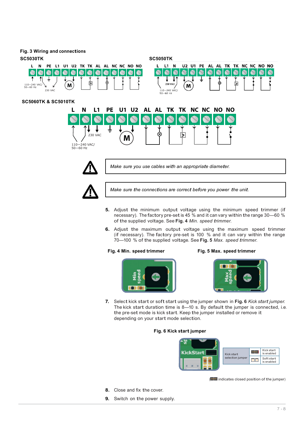#### **Fig. 3 Wiring and connections**





*Make sure you use cables with an appropriate diameter.*



*Make sure the connections are correct before you power the unit.*

- **5.** Adjust the minimum output voltage using the minimum speed trimmer (if necessary). The factory pre-set is 45 % and it can vary within the range 30—60 % of the supplied voltage. See **Fig. 4** *Min. speed trimmer*.
- Adjust the maximum output voltage using the maximum speed trimmer **6.** (if necessary). The factory pre-set is 100 % and it can vary within the range 70—100 % of the supplied voltage. See **Fig. 5** *Max. speed trimmer*.

#### **Fig. 4 Min. speed trimmer Fig. 5 Max. speed trimmer**



**7.** Select kick start or soft start using the jumper shown in **Fig. 6** *Kick start jumper.* The kick start duration time is 8—10 s. By default the jumper is connected, i.e. the pre-set mode is kick start. Keep the jumper installed or remove it depending on your start mode selection.

#### **Fig. 6 Kick start jumper**



( $\Box$  indicates closed position of the jumper)

- **8.** Close and fix the cover.
- **9.** Switch on the power supply.